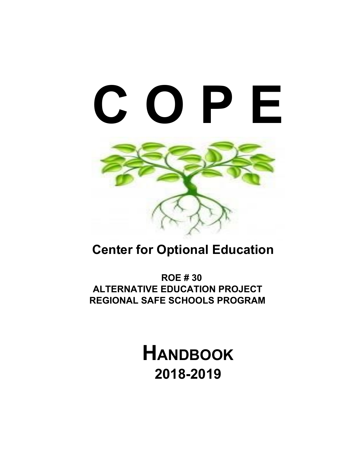

## **Center for Optional Education**

**ROE # 30 ALTERNATIVE EDUCATION PROJECT REGIONAL SAFE SCHOOLS PROGRAM**

> **HANDBOOK 2018-2019**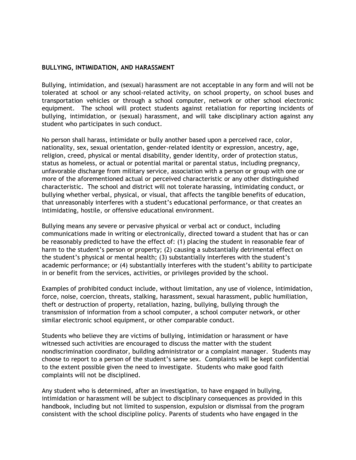## **BULLYING, INTIMIDATION, AND HARASSMENT**

Bullying, intimidation, and (sexual) harassment are not acceptable in any form and will not be tolerated at school or any school-related activity, on school property, on school buses and transportation vehicles or through a school computer, network or other school electronic equipment. The school will protect students against retaliation for reporting incidents of bullying, intimidation, or (sexual) harassment, and will take disciplinary action against any student who participates in such conduct.

No person shall harass, intimidate or bully another based upon a perceived race, color, nationality, sex, sexual orientation, gender-related identity or expression, ancestry, age, religion, creed, physical or mental disability, gender identity, order of protection status, status as homeless, or actual or potential marital or parental status, including pregnancy, unfavorable discharge from military service, association with a person or group with one or more of the aforementioned actual or perceived characteristic or any other distinguished characteristic. The school and district will not tolerate harassing, intimidating conduct, or bullying whether verbal, physical, or visual, that affects the tangible benefits of education, that unreasonably interferes with a student's educational performance, or that creates an intimidating, hostile, or offensive educational environment.

Bullying means any severe or pervasive physical or verbal act or conduct, including communications made in writing or electronically, directed toward a student that has or can be reasonably predicted to have the effect of: (1) placing the student in reasonable fear of harm to the student's person or property; (2) causing a substantially detrimental effect on the student's physical or mental health; (3) substantially interferes with the student's academic performance; or (4) substantially interferes with the student's ability to participate in or benefit from the services, activities, or privileges provided by the school.

Examples of prohibited conduct include, without limitation, any use of violence, intimidation, force, noise, coercion, threats, stalking, harassment, sexual harassment, public humiliation, theft or destruction of property, retaliation, hazing, bullying, bullying through the transmission of information from a school computer, a school computer network, or other similar electronic school equipment, or other comparable conduct.

Students who believe they are victims of bullying, intimidation or harassment or have witnessed such activities are encouraged to discuss the matter with the student nondiscrimination coordinator, building administrator or a complaint manager. Students may choose to report to a person of the student's same sex. Complaints will be kept confidential to the extent possible given the need to investigate. Students who make good faith complaints will not be disciplined.

Any student who is determined, after an investigation, to have engaged in bullying, intimidation or harassment will be subject to disciplinary consequences as provided in this handbook, including but not limited to suspension, expulsion or dismissal from the program consistent with the school discipline policy. Parents of students who have engaged in the